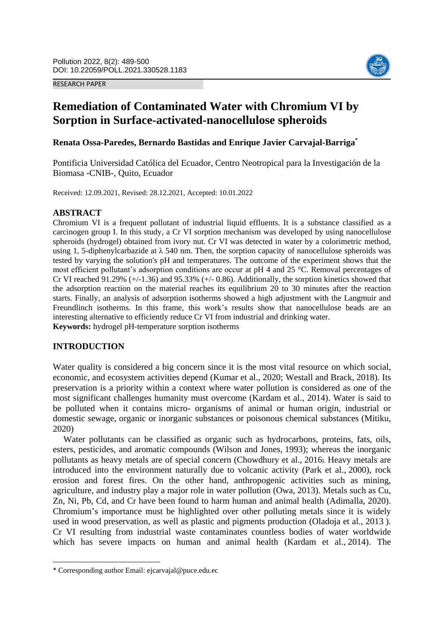RESEARCH PAPER



# **Remediation of Contaminated Water with Chromium VI by Sorption in Surface-activated-nanocellulose spheroids**

# **Renata Ossa-Paredes, Bernardo Bastidas and Enrique Javier Carvajal-Barriga\***

Pontificia Universidad Católica del Ecuador, Centro Neotropical para la Investigación de la Biomasa -CNIB-, Quito, Ecuador

Received: 12.09.2021, Revised: 28.12.2021, Accepted: 10.01.2022

# **ABSTRACT**

Chromium VI is a frequent pollutant of industrial liquid effluents. It is a substance classified as a carcinogen group I. In this study, a Cr VI sorption mechanism was developed by using nanocellulose spheroids (hydrogel) obtained from ivory nut. Cr VI was detected in water by a colorimetric method, using 1, 5-diphenylcarbazide at  $\lambda$  540 nm. Then, the sorption capacity of nanocellulose spheroids was tested by varying the solution's pH and temperatures. The outcome of the experiment shows that the most efficient pollutant's adsorption conditions are occur at pH 4 and 25 °C. Removal percentages of Cr VI reached 91.29%  $(+/-1.36)$  and 95.33%  $(+/-0.86)$ . Additionally, the sorption kinetics showed that the adsorption reaction on the material reaches its equilibrium 20 to 30 minutes after the reaction starts. Finally, an analysis of adsorption isotherms showed a high adjustment with the Langmuir and Freundlinch isotherms. In this frame, this work's results show that nanocellulose beads are an interesting alternative to efficiently reduce Cr VI from industrial and drinking water. **Keywords:** hydrogel pH-temperature sorption isotherms

# **INTRODUCTION**

**.** 

Water quality is considered a big concern since it is the most vital resource on which social, economic, and ecosystem activities depend (Kumar et al., 2020; Westall and Brack, [2018\)](#page-11-0). Its preservation is a priority within a context where water pollution is considered as one of the most significant challenges humanity must overcome (Kardam et al., [2014\)](#page-10-0). Water is said to be polluted when it contains micro- organisms of animal or human origin, industrial or domestic sewage, organic or inorganic substances or poisonous chemical substances (Mitiku, 2020)

Water pollutants can be classified as organic such as hydrocarbons, proteins, fats, oils, esters, pesticides, and aromatic compounds (Wilson and Jones, [1993\)](#page-11-1); whereas the inorganic pollutants as heavy metals are of special concern (Chowdhury et al., [2016](#page-9-0)). Heavy metals are introduced into the environment naturally due to volcanic activity (Park et al., [2000\)](#page-11-2), rock erosion and forest fires. On the other hand, anthropogenic activities such as mining, agriculture, and industry play a major role in water pollution (Owa, [2013\)](#page-11-3). Metals such as Cu, Zn, Ni, Pb, Cd, and Cr have been found to harm human and animal health (Adimalla, 2020). Chromium's importance must be highlighted over other polluting metals since it is widely used in wood preservation, as well as plastic and pigments production (Oladoja et al., [2013](#page-11-4) ). Cr VI resulting from industrial waste contaminates countless bodies of water worldwide which has severe impacts on human and animal health (Kardam et al., [2014\)](#page-10-0). The

<sup>\*</sup> Corresponding author Email: ejcarvajal@puce.edu.ec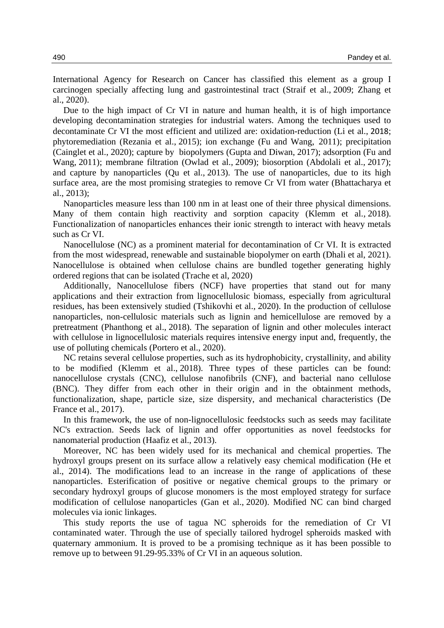International Agency for Research on Cancer has classified this element as a group I carcinogen specially affecting lung and gastrointestinal tract (Straif et al., [2009;](#page-11-5) Zhang et al., [2020\)](#page-11-6).

Due to the high impact of Cr VI in nature and human health, it is of high importance developing decontamination strategies for industrial waters. Among the techniques used to decontaminate Cr VI the most efficient and utilized are: oxidation-reduction (Li et al., [2018](#page-10-1); phytoremediation (Rezania et al., [2015\)](#page-11-7); ion exchange (Fu and Wang, [2011\);](#page-9-1) precipitation (Cainglet et al., [2020](#page-2-0)); capture by biopolymers (Gupta and Diwan, [2017\)](#page-9-2); adsorption (Fu and Wang, 2011); membrane filtration (Owlad et al., [2009\)](#page-11-8); biosorption (Abdolali et al., 2017); and capture by nanoparticles (Qu et al., [2013\)](#page-11-9). The use of nanoparticles, due to its high surface area, are the most promising strategies to remove Cr VI from water (Bhattacharya et al., [2013\)](#page-9-3);

Nanoparticles measure less than 100 nm in at least one of their three physical dimensions. Many of them contain high reactivity and sorption capacity (Klemm et al., [2018\)](#page-10-2). Functionalization of nanoparticles enhances their ionic strength to interact with heavy metals such as Cr VI.

Nanocellulose (NC) as a prominent material for decontamination of Cr VI. It is extracted from the most widespread, renewable and sustainable biopolymer on earth (Dhali et al, 2021). Nanocellulose is obtained when cellulose chains are bundled together generating highly ordered regions that can be isolated (Trache et al, 2020)

Additionally, Nanocellulose fibers (NCF) have properties that stand out for many applications and their extraction from lignocellulosic biomass, especially from agricultural residues, has been extensively studied (Tshikovhi et al., [2020\)](#page-11-10). In the production of cellulose nanoparticles, non-cellulosic materials such as lignin and hemicellulose are removed by a pretreatment (Phanthong et al., [2018\)](#page-11-5). The separation of lignin and other molecules interact with cellulose in lignocellulosic materials requires intensive energy input and, frequently, the use of polluting chemicals (Portero et al., [2020\)](#page-11-9).

NC retains several cellulose properties, such as its hydrophobicity, crystallinity, and ability to be modified (Klemm et al., [2018\)](#page-10-2). Three types of these particles can be found: nanocellulose crystals (CNC), cellulose nanofibrils (CNF), and bacterial nano cellulose (BNC). They differ from each other in their origin and in the obtainment methods, functionalization, shape, particle size, size dispersity, and mechanical characteristics (De France et al., [2017\)](#page-9-4).

In this framework, the use of non-lignocellulosic feedstocks such as seeds may facilitate NC's extraction. Seeds lack of lignin and offer opportunities as novel feedstocks for nanomaterial production (Haafiz et al., 2013).

Moreover, NC has been widely used for its mechanical and chemical properties. The hydroxyl groups present on its surface allow a relatively easy chemical modification (He et al., 2014). The modifications lead to an increase in the range of applications of these nanoparticles. Esterification of positive or negative chemical groups to the primary or secondary hydroxyl groups of glucose monomers is the most employed strategy for surface modification of cellulose nanoparticles (Gan et al., [2020\)](#page-9-5). Modified NC can bind charged molecules via ionic linkages.

This study reports the use of tagua NC spheroids for the remediation of Cr VI contaminated water. Through the use of specially tailored hydrogel spheroids masked with quaternary ammonium. It is proved to be a promising technique as it has been possible to remove up to between 91.29-95.33% of Cr VI in an aqueous solution.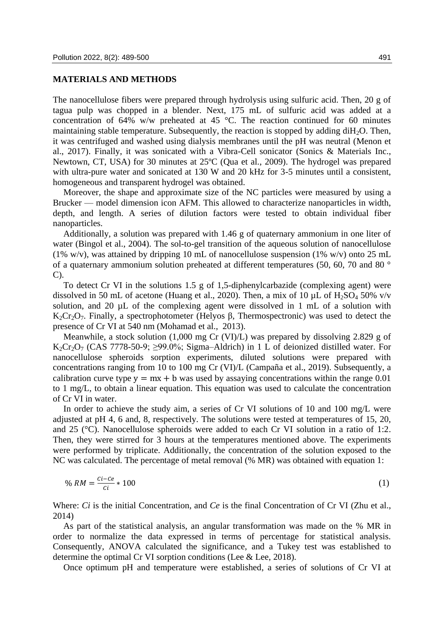## **MATERIALS AND METHODS**

The nanocellulose fibers were prepared through hydrolysis using sulfuric acid. Then, 20 g of tagua pulp was chopped in a blender. Next, 175 mL of sulfuric acid was added at a concentration of 64% w/w preheated at 45 °C. The reaction continued for 60 minutes maintaining stable temperature. Subsequently, the reaction is stopped by adding  $\text{d}H_2O$ . Then, it was centrifuged and washed using dialysis membranes until the pH was neutral (Menon et al., [2017\)](#page-10-3). Finally, it was sonicated with a Vibra-Cell sonicator (Sonics & Materials Inc., Newtown, CT, USA) for 30 minutes at 25ºC (Qua et al., 2009). The hydrogel was prepared with ultra-pure water and sonicated at 130 W and 20 kHz for 3-5 minutes until a consistent, homogeneous and transparent hydrogel was obtained.

Moreover, the shape and approximate size of the NC particles were measured by using a Brucker — model dimension icon AFM. This allowed to characterize nanoparticles in width, depth, and length. A series of dilution factors were tested to obtain individual fiber nanoparticles.

Additionally, a solution was prepared with 1.46 g of quaternary ammonium in one liter of water (Bingol et al., [2004\)](#page-9-6). The sol-to-gel transition of the aqueous solution of nanocellulose (1% w/v), was attained by dripping 10 mL of nanocellulose suspension (1% w/v) onto 25 mL of a quaternary ammonium solution preheated at different temperatures (50, 60, 70 and 80 ° C).

To detect Cr VI in the solutions 1.5 g of 1,5-diphenylcarbazide (complexing agent) were dissolved in 50 mL of acetone (Huang et al., [2020\)](#page-10-4). Then, a mix of 10  $\mu$ L of H<sub>2</sub>SO<sub>4</sub> 50% v/v solution, and 20 µL of the complexing agent were dissolved in 1 mL of a solution with K<sub>2</sub>Cr<sub>2</sub>O<sub>7</sub>. Finally, a spectrophotometer (Helyos β, Thermospectronic) was used to detect the presence of Cr VI at 540 nm (Mohamad et al., [2013\).](#page-10-5)

<span id="page-2-0"></span>Meanwhile, a stock solution (1,000 mg Cr (VI)/L) was prepared by dissolving 2.829 g of K<sub>2</sub>Cr<sub>2</sub>O<sub>7</sub> (CAS 7778-50-9;  $\geq$ 99.0%; Sigma–Aldrich) in 1 L of deionized distilled water. For nanocellulose spheroids sorption experiments, diluted solutions were prepared with concentrations ranging from 10 to 100 mg Cr (VI)/L (Campaña et al., [2019\)](#page-9-7). Subsequently, a calibration curve type  $y = mx + b$  was used by assaying concentrations within the range 0.01 to 1 mg/L, to obtain a linear equation. This equation was used to calculate the concentration of Cr VI in water.

In order to achieve the study aim, a series of Cr VI solutions of 10 and 100 mg/L were adjusted at pH 4, 6 and, 8, respectively. The solutions were tested at temperatures of 15, 20, and 25 ( $^{\circ}$ C). Nanocellulose spheroids were added to each Cr VI solution in a ratio of 1:2. Then, they were stirred for 3 hours at the temperatures mentioned above. The experiments were performed by triplicate. Additionally, the concentration of the solution exposed to the NC was calculated. The percentage of metal removal (% MR) was obtained with equation 1:

$$
\% RM = \frac{c_i - c_e}{ci} \times 100 \tag{1}
$$

Where: *Ci* is the initial Concentration, and *Ce* is the final Concentration of Cr VI (Zhu et al., 2014)

As part of the statistical analysis, an angular transformation was made on the % MR in order to normalize the data expressed in terms of percentage for statistical analysis. Consequently, ANOVA calculated the significance, and a Tukey test was established to determine the optimal Cr VI sorption conditions (Lee & Lee, [2018\)](#page-10-6).

Once optimum pH and temperature were established, a series of solutions of Cr VI at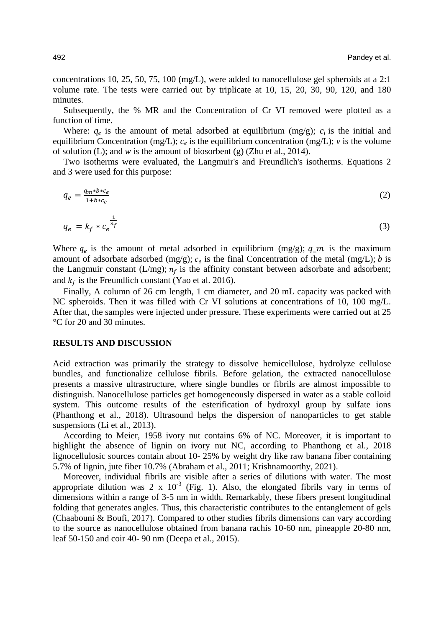concentrations 10, 25, 50, 75, 100 (mg/L), were added to nanocellulose gel spheroids at a 2:1 volume rate. The tests were carried out by triplicate at 10, 15, 20, 30, 90, 120, and 180 minutes.

Subsequently, the % MR and the Concentration of Cr VI removed were plotted as a function of time.

Where:  $q_e$  is the amount of metal adsorbed at equilibrium (mg/g);  $c_i$  is the initial and equilibrium Concentration (mg/L);  $c_e$  is the equilibrium concentration (mg/L);  $\nu$  is the volume of solution (L); and *w* is the amount of biosorbent (g) (Zhu et al., 2014).

Two isotherms were evaluated, the Langmuir's and Freundlich's isotherms. Equations 2 and 3 were used for this purpose:

$$
q_e = \frac{q_m * b * c_e}{1 + b * c_e} \tag{2}
$$

$$
q_e = k_f * c_e^{\frac{1}{n_f}}
$$
 (3)

Where  $q_e$  is the amount of metal adsorbed in equilibrium (mg/g);  $q_m$  is the maximum amount of adsorbate adsorbed (mg/g);  $c_e$  is the final Concentration of the metal (mg/L); *b* is the Langmuir constant (L/mg);  $n_f$  is the affinity constant between adsorbate and adsorbent; and  $k_f$  is the Freundlich constant (Yao et al. 2016).

Finally, A column of 26 cm length, 1 cm diameter, and 20 mL capacity was packed with NC spheroids. Then it was filled with Cr VI solutions at concentrations of 10, 100 mg/L. After that, the samples were injected under pressure. These experiments were carried out at 25 °C for 20 and 30 minutes.

#### **RESULTS AND DISCUSSION**

Acid extraction was primarily the strategy to dissolve hemicellulose, hydrolyze cellulose bundles, and functionalize cellulose fibrils. Before gelation, the extracted nanocellulose presents a massive ultrastructure, where single bundles or fibrils are almost impossible to distinguish. Nanocellulose particles get homogeneously dispersed in water as a stable colloid system. This outcome results of the esterification of hydroxyl group by sulfate ions (Phanthong et al., 2018). Ultrasound helps the dispersion of nanoparticles to get stable suspensions (Li et al., 2013).

According to Meier, [1958](#page-10-7) ivory nut contains 6% of NC. Moreover, it is important to highlight the absence of lignin on ivory nut NC, according to Phanthong et al., 2018 lignocellulosic sources contain about 10- 25% by weight dry like raw banana fiber containing 5.7% of lignin, jute fiber 10.7% (Abraham et al., 2011; Krishnamoorthy, 2021).

Moreover, individual fibrils are visible after a series of dilutions with water. The most appropriate dilution was 2 x  $10^{-3}$  (Fig. 1). Also, the elongated fibrils vary in terms of dimensions within a range of 3-5 nm in width. Remarkably, these fibers present longitudinal folding that generates angles. Thus, this characteristic contributes to the entanglement of gels (Chaabouni & Boufi, 2017). Compared to other studies fibrils dimensions can vary according to the source as nanocellulose obtained from banana rachis 10-60 nm, pineapple 20-80 nm, leaf 50-150 and coir 40- 90 nm (Deepa et al., 2015).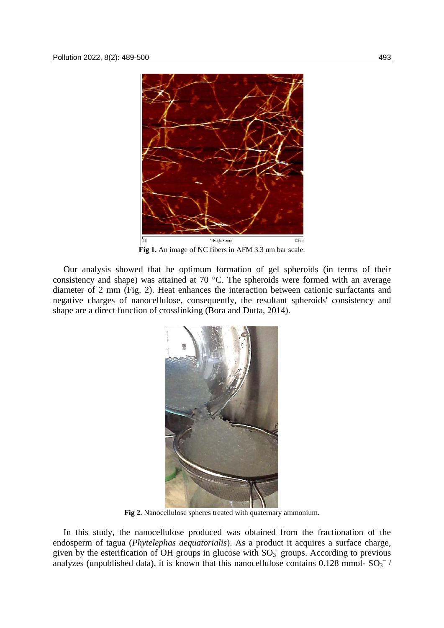

**Fig 1.** An image of NC fibers in AFM 3.3 um bar scale.

Our analysis showed that he optimum formation of gel spheroids (in terms of their consistency and shape) was attained at 70 °C. The spheroids were formed with an average diameter of 2 mm (Fig. 2). Heat enhances the interaction between cationic surfactants and negative charges of nanocellulose, consequently, the resultant spheroids' consistency and shape are a direct function of crosslinking (Bora and Dutta, [2014\)](#page-9-8).



**Fig 2.** Nanocellulose spheres treated with quaternary ammonium.

In this study, the nanocellulose produced was obtained from the fractionation of the endosperm of tagua (*Phytelephas aequatorialis*). As a product it acquires a surface charge, given by the esterification of OH groups in glucose with  $SO_3$  groups. According to previous analyzes (unpublished data), it is known that this nanocellulose contains  $0.128$  mmol- $SO_3^-$  /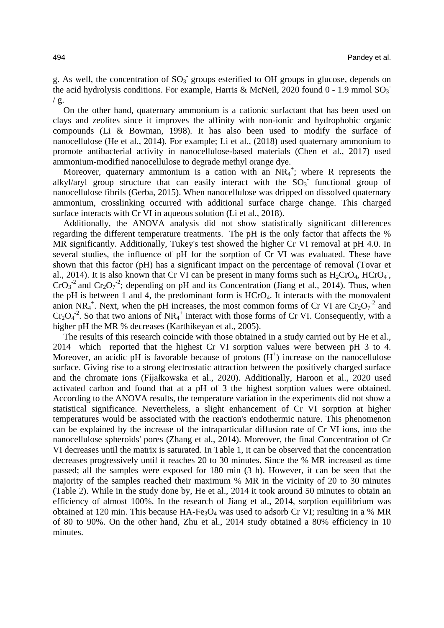g. As well, the concentration of  $SO_3$ <sup>-</sup> groups esterified to OH groups in glucose, depends on the acid hydrolysis conditions. For example, Harris & McNeil, [2020](#page-9-9) found 0 - 1.9 mmol  $SO_3$  $/$  g.

On the other hand, quaternary ammonium is a cationic surfactant that has been used on clays and zeolites since it improves the affinity with non-ionic and hydrophobic organic compounds (Li & Bowman, 1998). It has also been used to modify the surface of nanocellulose (He et al., 2014). For example; Li et al., (2018) used quaternary ammonium to promote antibacterial activity in nanocellulose-based materials (Chen et al., 2017) used ammonium-modified nanocellulose to degrade methyl orange dye.

Moreover, quaternary ammonium is a cation with an  $NR_4^+$ ; where R represents the alkyl/aryl group structure that can easily interact with the  $SO_3^-$  functional group of nanocellulose fibrils (Gerba, [2015\)](#page-9-10). When nanocellulose was dripped on dissolved quaternary ammonium, crosslinking occurred with additional surface charge change. This charged surface interacts with Cr VI in aqueous solution (Li et al., [2018\)](#page-10-1).

Additionally, the ANOVA analysis did not show statistically significant differences regarding the different temperature treatments. The pH is the only factor that affects the % MR significantly. Additionally, Tukey's test showed the higher Cr VI removal at pH 4.0. In several studies, the influence of pH for the sorption of Cr VI was evaluated. These have shown that this factor (pH) has a significant impact on the percentage of removal (Tovar et al., [2014\)](#page-11-11). It is also known that Cr VI can be present in many forms such as  $H_2CrO_4$ ,  $HCrO_4$ ,  $CrO<sub>3</sub><sup>-2</sup>$  and  $Cr<sub>2</sub>O<sub>7</sub><sup>-2</sup>$ ; depending on pH and its Concentration (Jiang et al., [2014\)](#page-10-8). Thus, when the pH is between 1 and 4, the predominant form is  $HCrO<sub>4</sub>$ . It interacts with the monovalent anion NR<sub>4</sub><sup>+</sup>. Next, when the pH increases, the most common forms of Cr VI are  $Cr_2O_7^{-2}$  and  $Cr_2O_4^{-2}$ . So that two anions of NR<sub>4</sub><sup>+</sup> interact with those forms of Cr VI. Consequently, with a higher pH the MR % decreases (Karthikeyan et al., [2005\)](#page-10-9).

The results of this research coincide with those obtained in a study carried out by He et al., [2014](#page-9-11) which reported that the highest Cr VI sorption values were between pH 3 to 4. Moreover, an acidic pH is favorable because of protons  $(H<sup>+</sup>)$  increase on the nanocellulose surface. Giving rise to a strong electrostatic attraction between the positively charged surface and the chromate ions (Fijałkowska et al., 2020). Additionally, Haroon et al., 2020 used activated carbon and found that at a pH of 3 the highest sorption values were obtained. According to the ANOVA results, the temperature variation in the experiments did not show a statistical significance. Nevertheless, a slight enhancement of Cr VI sorption at higher temperatures would be associated with the reaction's endothermic nature. This phenomenon can be explained by the increase of the intraparticular diffusion rate of Cr VI ions, into the nanocellulose spheroids' pores (Zhang et al., 2014). Moreover, the final Concentration of Cr VI decreases until the matrix is saturated. In Table 1, it can be observed that the concentration decreases progressively until it reaches 20 to 30 minutes. Since the % MR increased as time passed; all the samples were exposed for 180 min (3 h). However, it can be seen that the majority of the samples reached their maximum % MR in the vicinity of 20 to 30 minutes (Table 2). While in the study done by, He et al., [2014](#page-9-11) it took around 50 minutes to obtain an efficiency of almost 100%. In the research of Jiang et al., [2014,](#page-10-8) sorption equilibrium was obtained at 120 min. This because  $HA-Fe<sub>3</sub>O<sub>4</sub>$  was used to adsorb Cr VI; resulting in a % MR of 80 to 90%. On the other hand, Zhu et al., 2014 study obtained a 80% efficiency in 10 minutes.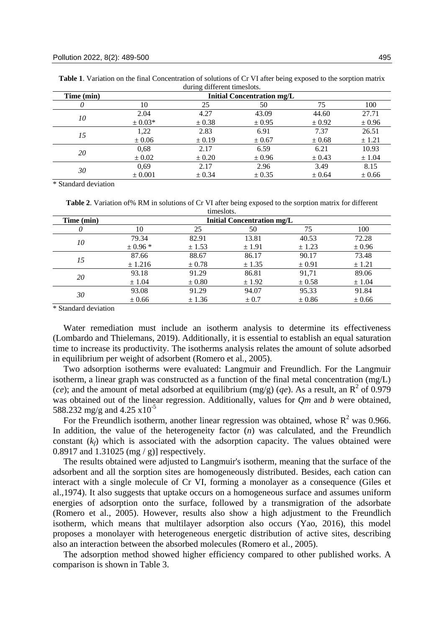| Time (min) | <b>Initial Concentration mg/L</b> |            |            |            |            |  |  |  |  |
|------------|-----------------------------------|------------|------------|------------|------------|--|--|--|--|
| 0          | 10                                | 25         | 50         | 75         | 100        |  |  |  |  |
| 10         | 2.04                              | 4.27       | 43.09      | 44.60      | 27.71      |  |  |  |  |
|            | $\pm 0.03*$                       | ± 0.38     | ± 0.95     | $\pm 0.92$ | ± 0.96     |  |  |  |  |
| 15         | 1,22                              | 2.83       | 6.91       | 7.37       | 26.51      |  |  |  |  |
|            | ± 0.06                            | $\pm 0.19$ | $\pm 0.67$ | $\pm 0.68$ | ± 1.21     |  |  |  |  |
| 20         | 0,68                              | 2.17       | 6.59       | 6.21       | 10.93      |  |  |  |  |
|            | $\pm 0.02$                        | $\pm 0.20$ | ± 0.96     | $\pm$ 0.43 | ± 1.04     |  |  |  |  |
| 30         | 0.69                              | 2.17       | 2.96       | 3.49       | 8.15       |  |  |  |  |
|            | ± 0.001                           | $\pm 0.34$ | $\pm$ 0.35 | ± 0.64     | $\pm 0.66$ |  |  |  |  |

**Table 1**. Variation on the final Concentration of solutions of Cr VI after being exposed to the sorption matrix during different timeslots.

\* Standard deviation

**Table 2**. Variation of% RM in solutions of Cr VI after being exposed to the sorption matrix for different

| timeslots. |                            |            |           |            |        |  |  |
|------------|----------------------------|------------|-----------|------------|--------|--|--|
| Time (min) | Initial Concentration mg/L |            |           |            |        |  |  |
|            | 10                         | 25         | 50        | 75         | 100    |  |  |
| 10         | 79.34                      | 82.91      | 13.81     | 40.53      | 72.28  |  |  |
|            | $± 0.96*$                  | ± 1.53     | ± 1.91    | ± 1.23     | ± 0.96 |  |  |
| 15         | 87.66                      | 88.67      | 86.17     | 90.17      | 73.48  |  |  |
|            | ± 1.216                    | $\pm 0.78$ | ± 1.35    | ± 0.91     | ± 1.21 |  |  |
| 20         | 93.18                      | 91.29      | 86.81     | 91,71      | 89.06  |  |  |
|            | ± 1.04                     | $\pm 0.80$ | ± 1.92    | $\pm 0.58$ | ± 1.04 |  |  |
| 30         | 93.08                      | 91.29      | 94.07     | 95.33      | 91.84  |  |  |
|            | $\pm 0.66$                 | ± 1.36     | $\pm 0.7$ | $\pm 0.86$ | ± 0.66 |  |  |

\* Standard deviation

Water remediation must include an isotherm analysis to determine its effectiveness (Lombardo and Thielemans, [2019\)](#page-10-10). Additionally, it is essential to establish an equal saturation time to increase its productivity. The isotherms analysis relates the amount of solute adsorbed in equilibrium per weight of adsorbent (Romero et al., 2005).

Two adsorption isotherms were evaluated: Langmuir and Freundlich. For the Langmuir isotherm, a linear graph was constructed as a function of the final metal concentration (mg/L) (*ce*); and the amount of metal adsorbed at equilibrium (mg/g) (*qe*). As a result, an  $R^2$  of 0.979 was obtained out of the linear regression. Additionally, values for *Qm* and *b* were obtained, 588.232 mg/g and 4.25  $\times 10^{-5}$ 

For the Freundlich isotherm, another linear regression was obtained, whose  $R^2$  was 0.966. In addition, the value of the heterogeneity factor (*n*) was calculated, and the Freundlich constant  $(k_f)$  which is associated with the adsorption capacity. The values obtained were 0.8917 and 1.31025 (mg / g)] respectively.

The results obtained were adjusted to Langmuir's isotherm, meaning that the surface of the adsorbent and all the sorption sites are homogeneously distributed. Besides, each cation can interact with a single molecule of Cr VI, forming a monolayer as a consequence (Giles et al.[,1974\)](#page-9-12). It also suggests that uptake occurs on a homogeneous surface and assumes uniform energies of adsorption onto the surface, followed by a transmigration of the adsorbate (Romero et al., 2005). However, results also show a high adjustment to the Freundlich isotherm, which means that multilayer adsorption also occurs (Yao, 2016), this model proposes a monolayer with heterogeneous energetic distribution of active sites, describing also an interaction between the absorbed molecules (Romero et al., 2005).

The adsorption method showed higher efficiency compared to other published works. A comparison is shown in Table 3.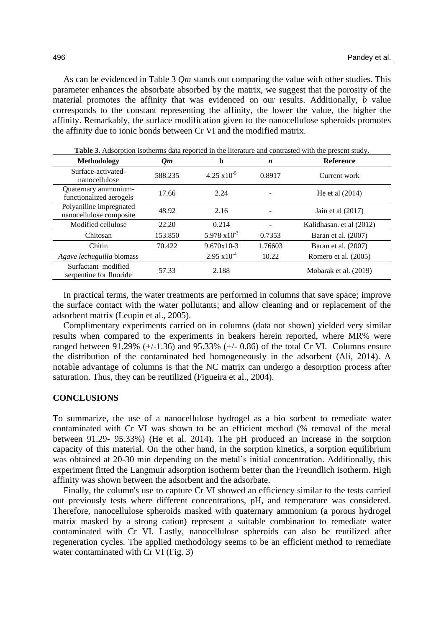As can be evidenced in Table 3 *Qm* stands out comparing the value with other studies. This parameter enhances the absorbate absorbed by the matrix, we suggest that the porosity of the material promotes the affinity that was evidenced on our results. Additionally, *b* value corresponds to the constant representing the affinity, the lower the value, the higher the affinity. Remarkably, the surface modification given to the nanocellulose spheroids promotes the affinity due to ionic bonds between Cr VI and the modified matrix.

| <b>Methodology</b>                                 | Q <sub>m</sub> | b                      | n       | <b>Reference</b>         |  |
|----------------------------------------------------|----------------|------------------------|---------|--------------------------|--|
| Surface-activated-<br>nanocellulose                | 588.235        | $4.25 \times 10^{-5}$  | 0.8917  | Current work             |  |
| Quaternary ammonium-<br>functionalized aerogels    | 17.66          | 2.24                   |         | He et al $(2014)$        |  |
| Polyaniline impregnated<br>nanocellulose composite | 48.92          | 2.16                   |         | Jain et al $(2017)$      |  |
| Modified cellulose                                 | 22.20          | 0.214                  |         | Kalidhasan. et al (2012) |  |
| Chitosan                                           | 153.850        | $5.978 \times 10^{-3}$ | 0.7353  | Baran et al. (2007)      |  |
| Chitin                                             | 70.422         | $9.670x10-3$           | 1.76603 | Baran et al. (2007)      |  |
| Agave lechuguilla biomass                          |                | $2.95 \times 10^{-4}$  | 10.22   | Romero et al. (2005)     |  |
| Surfactant-modified<br>serpentine for fluoride     | 57.33          | 2.188                  |         | Mobarak et al. (2019)    |  |

**Table 3.** Adsorption isotherms data reported in the literature and contrasted with the present study.

In practical terms, the water treatments are performed in columns that save space; improve the surface contact with the water pollutants; and allow cleaning and or replacement of the adsorbent matrix (Leupin et al., [2005\).](#page-10-6)

Complimentary experiments carried on in columns (data not shown) yielded very similar results when compared to the experiments in beakers herein reported, where MR% were ranged between 91.29%  $(+/-1.36)$  and 95.33%  $(+/-0.86)$  of the total Cr VI. Columns ensure the distribution of the contaminated bed homogeneously in the adsorbent (Ali, [2014\)](#page-8-1). A notable advantage of columns is that the NC matrix can undergo a desorption process after saturation. Thus, they can be reutilized (Figueira et al., [2004\)](#page-9-13).

#### **CONCLUSIONS**

To summarize, the use of a nanocellulose hydrogel as a bio sorbent to remediate water contaminated with Cr VI was shown to be an efficient method (% removal of the metal between 91.29- 95.33%) (He et al. [2014\)](#page-9-11). The pH produced an increase in the sorption capacity of this material. On the other hand, in the sorption kinetics, a sorption equilibrium was obtained at 20-30 min depending on the metal's initial concentration. Additionally, this experiment fitted the Langmuir adsorption isotherm better than the Freundlich isotherm. High affinity was shown between the adsorbent and the adsorbate.

Finally, the column's use to capture Cr VI showed an efficiency similar to the tests carried out previously tests where different concentrations, pH, and temperature was considered. Therefore, nanocellulose spheroids masked with quaternary ammonium (a porous hydrogel matrix masked by a strong cation) represent a suitable combination to remediate water contaminated with Cr VI. Lastly, nanocellulose spheroids can also be reutilized after regeneration cycles. The applied methodology seems to be an efficient method to remediate water contaminated with Cr VI (Fig. 3)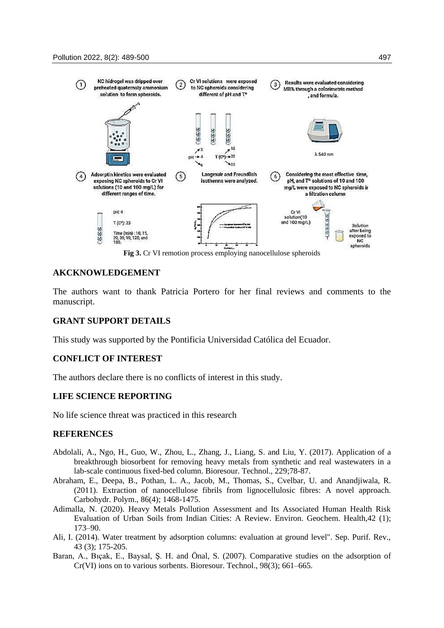

#### **AKCKNOWLEDGEMENT**

The authors want to thank Patricia Portero for her final reviews and comments to the manuscript.

### **GRANT SUPPORT DETAILS**

This study was supported by the Pontificia Universidad Católica del Ecuador.

# **CONFLICT OF INTEREST**

The authors declare there is no conflicts of interest in this study.

# **LIFE SCIENCE REPORTING**

No life science threat was practiced in this research

## **REFERENCES**

- Abdolali, A., Ngo, H., Guo, W., Zhou, L., Zhang, J., Liang, S. and Liu, Y. (2017). Application of a breakthrough biosorbent for removing heavy metals from synthetic and real wastewaters in a lab-scale continuous fixed-bed column. Bioresour. Technol., 229;78-87.
- Abraham, E., Deepa, B., Pothan, L. A., Jacob, M., Thomas, S., Cvelbar, U. and Anandjiwala, R. (2011). Extraction of nanocellulose fibrils from lignocellulosic fibres: A novel approach. Carbohydr. Polym., 86(4); 1468-1475.
- Adimalla, N. (2020). Heavy Metals Pollution Assessment and Its Associated Human Health Risk Evaluation of Urban Soils from Indian Cities: A Review. Environ. Geochem. Health,42 (1); 173–90.
- <span id="page-8-1"></span>Ali, I. (2014). Water treatment by adsorption columns: evaluation at ground level". Sep. Purif. Rev., 43 (3); 175-205.
- <span id="page-8-0"></span>Baran, A., Bıçak, E., Baysal, Ş. H. and Önal, S. (2007). Comparative studies on the adsorption of Cr(VI) ions on to various sorbents. Bioresour. Technol., 98(3); 661–665.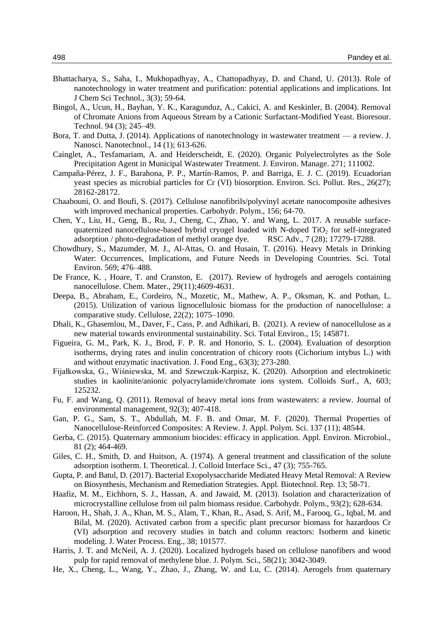- <span id="page-9-3"></span>Bhattacharya, S., Saha, I., Mukhopadhyay, A., Chattopadhyay, D. and Chand, U. (2013). Role of nanotechnology in water treatment and purification: potential applications and implications. Int J Chem Sci Technol., 3(3); 59-64.
- <span id="page-9-6"></span>Bingol, A., Ucun, H., Bayhan, Y. K., Karagunduz, A., Cakici, A. and Keskinler, B. (2004). Removal of Chromate Anions from Aqueous Stream by a Cationic Surfactant-Modified Yeast. Bioresour. Technol. 94 (3); 245–49.
- <span id="page-9-8"></span>Bora, T. and Dutta, J. (2014). Applications of nanotechnology in wastewater treatment — a review. J. Nanosci. Nanotechnol., 14 (1); 613-626.
- Cainglet, A., Tesfamariam, A. and Heiderscheidt, E. (2020). Organic Polyelectrolytes as the Sole Precipitation Agent in Municipal Wastewater Treatment. J. Environ. Manage. 271; 111002.
- <span id="page-9-7"></span>Campaña-Pérez, J. F., Barahona, P. P., Martín-Ramos, P. and Barriga, E. J. C. (2019). Ecuadorian yeast species as microbial particles for Cr (VI) biosorption. Environ. Sci. Pollut. Res., 26(27); 28162-28172.
- Chaabouni, O. and Boufi, S. (2017). Cellulose nanofibrils/polyvinyl acetate nanocomposite adhesives with improved mechanical properties. Carbohydr. Polym., 156; 64-70.
- Chen, Y., Liu, H., Geng, B., Ru, J., Cheng, C., Zhao, Y. and Wang, L. 2017. A reusable surfacequaternized nanocellulose-based hybrid cryogel loaded with N-doped  $TiO<sub>2</sub>$  for self-integrated adsorption / photo-degradation of methyl orange dye. RSC Adv., 7 (28); 17279-17288.
- <span id="page-9-0"></span>Chowdhury, S., Mazumder, M. J., Al-Attas, O. and Husain, T. (2016). Heavy Metals in Drinking Water: Occurrences, Implications, and Future Needs in Developing Countries. Sci. Total Environ. 569; 476–488.
- <span id="page-9-4"></span>De France, K., Hoare, T. and Cranston, E. (2017). Review of hydrogels and aerogels containing nanocellulose. Chem. Mater., 29(11);4609-4631.
- Deepa, B., Abraham, E., Cordeiro, N., Mozetic, M., Mathew, A. P., Oksman, K. and Pothan, L. (2015). Utilization of various lignocellulosic biomass for the production of nanocellulose: a comparative study. Cellulose, 22(2); 1075–1090.
- Dhali, K., Ghasemlou, M., Daver, F., Cass, P. and Adhikari, B. (2021). A review of nanocellulose as a new material towards environmental sustainability. Sci. Total Environ., 15; 145871.
- <span id="page-9-13"></span>Figueira, G. M., Park, K. J., Brod, F. P. R. and Honorio, S. L. (2004). Evaluation of desorption isotherms, drying rates and inulin concentration of chicory roots (Cichorium intybus L.) with and without enzymatic inactivation. J. Food Eng., 63(3); 273-280.
- Fijałkowska, G., Wiśniewska, M. and Szewczuk-Karpisz, K. (2020). Adsorption and electrokinetic studies in kaolinite/anionic polyacrylamide/chromate ions system. Colloids Surf., A, 603; 125232.
- <span id="page-9-1"></span>Fu, F. and Wang, Q. (2011). Removal of heavy metal ions from wastewaters: a review. Journal of environmental management, 92(3); 407-418.
- <span id="page-9-5"></span>Gan, P. G., Sam, S. T., Abdullah, M. F. B. and Omar, M. F. (2020). Thermal Properties of Nanocellulose-Reinforced Composites: A Review. J. Appl. Polym. Sci. 137 (11); 48544.
- <span id="page-9-10"></span>Gerba, C. (2015). Quaternary ammonium biocides: efficacy in application. Appl. Environ. Microbiol., 81 (2); 464-469.
- <span id="page-9-12"></span>Giles, C. H., Smith, D. and Huitson, A. (1974). A general treatment and classification of the solute adsorption isotherm. I. Theoretical. J. Colloid Interface Sci., 47 (3); 755-765.
- <span id="page-9-2"></span>Gupta, P. and Batul, D. (2017). Bacterial Exopolysaccharide Mediated Heavy Metal Removal: A Review on Biosynthesis, Mechanism and Remediation Strategies. Appl. Biotechnol. Rep. 13; 58-71.
- Haafiz, M. M., Eichhorn, S. J., Hassan, A. and Jawaid, M. (2013). Isolation and characterization of microcrystalline cellulose from oil palm biomass residue. Carbohydr. Polym., 93(2); 628-634.
- Haroon, H., Shah, J. A., Khan, M. S., Alam, T., Khan, R., Asad, S. Arif, M., Farooq, G., Iqbal, M. and Bilal, M. (2020). Activated carbon from a specific plant precursor biomass for hazardous Cr (VI) adsorption and recovery studies in batch and column reactors: Isotherm and kinetic modeling. J. Water Process. Eng., 38; 101577.
- <span id="page-9-9"></span>Harris, J. T. and McNeil, A. J. (2020). Localized hydrogels based on cellulose nanofibers and wood pulp for rapid removal of methylene blue. J. Polym. Sci., 58(21); 3042-3049.
- <span id="page-9-11"></span>He, X., Cheng, L., Wang, Y., Zhao, J., Zhang, W. and Lu, C. (2014). Aerogels from quaternary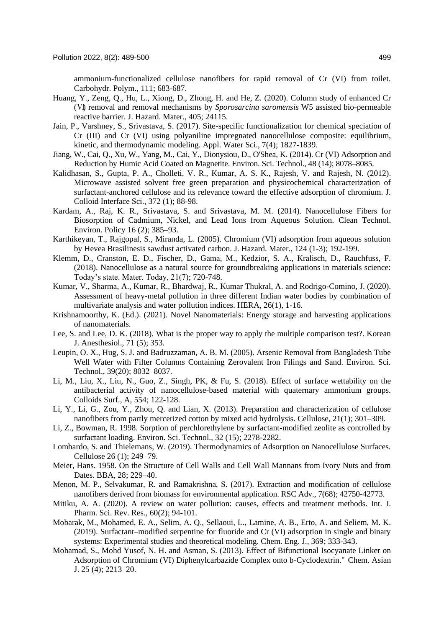ammonium-functionalized cellulose nanofibers for rapid removal of Cr (VI) from toilet. Carbohydr. Polym., 111; 683-687.

- <span id="page-10-4"></span>Huang, Y., Zeng, Q., Hu, L., Xiong, D., Zhong, H. and He, Z. (2020). Column study of enhanced Cr (Ⅵ) removal and removal mechanisms by *Sporosarcina saromensis* W5 assisted bio-permeable reactive barrier. J. Hazard. Mater., 405; 24115.
- <span id="page-10-11"></span>Jain, P., Varshney, S., Srivastava, S. (2017). Site-specific functionalization for chemical speciation of Cr (III) and Cr (VI) using polyaniline impregnated nanocellulose composite: equilibrium, kinetic, and thermodynamic modeling. Appl. Water Sci., 7(4); 1827-1839.
- <span id="page-10-8"></span>Jiang, W., Cai, Q., Xu, W., Yang, M., Cai, Y., Dionysiou, D., O'Shea, K. (2014). Cr (VI) Adsorption and Reduction by Humic Acid Coated on Magnetite. Environ. Sci. Technol., 48 (14); 8078–8085.
- <span id="page-10-12"></span>Kalidhasan, S., Gupta, P. A., Cholleti, V. R., Kumar, A. S. K., Rajesh, V. and Rajesh, N. (2012). Microwave assisted solvent free green preparation and physicochemical characterization of surfactant-anchored cellulose and its relevance toward the effective adsorption of chromium. J. Colloid Interface Sci., 372 (1); 88-98.
- <span id="page-10-0"></span>Kardam, A., Raj, K. R., Srivastava, S. and Srivastava, M. M. (2014). Nanocellulose Fibers for Biosorption of Cadmium, Nickel, and Lead Ions from Aqueous Solution. Clean Technol. Environ. Policy 16 (2); 385–93.
- <span id="page-10-9"></span>Karthikeyan, T., Rajgopal, S., Miranda, L. (2005). Chromium (VI) adsorption from aqueous solution by Hevea Brasilinesis sawdust activated carbon. J. Hazard. Mater., 124 (1-3); 192-199.
- <span id="page-10-2"></span>Klemm, D., Cranston, E. D., Fischer, D., Gama, M., Kedzior, S. A., Kralisch, D., Rauchfuss, F. (2018). Nanocellulose as a natural source for groundbreaking applications in materials science: Today's state. Mater. Today, 21(7); 720-748.
- <span id="page-10-6"></span>Kumar, V., Sharma, A., Kumar, R., Bhardwaj, R., Kumar Thukral, A. and Rodrigo-Comino, J. (2020). Assessment of heavy-metal pollution in three different Indian water bodies by combination of multivariate analysis and water pollution indices. HERA, 26(1), 1-16.
- Krishnamoorthy, K. (Ed.). (2021). Novel Nanomaterials: Energy storage and harvesting applications of nanomaterials.
- Lee, S. and Lee, D. K. (2018). What is the proper way to apply the multiple comparison test?. Korean J. Anesthesiol., 71 (5); 353.
- Leupin, O. X., Hug, S. J. and Badruzzaman, A. B. M. (2005). Arsenic Removal from Bangladesh Tube Well Water with Filter Columns Containing Zerovalent Iron Filings and Sand. Environ. Sci. Technol., 39(20); 8032–8037.
- <span id="page-10-1"></span>Li, M., Liu, X., Liu, N., Guo, Z., Singh, PK, & Fu, S. (2018). Effect of surface wettability on the antibacterial activity of nanocellulose-based material with quaternary ammonium groups. Colloids Surf., A, 554; 122-128.
- Li, Y., Li, G., Zou, Y., Zhou, Q. and Lian, X. (2013). Preparation and characterization of cellulose nanofibers from partly mercerized cotton by mixed acid hydrolysis. Cellulose, 21(1); 301–309.
- Li, Z., Bowman, R. 1998. Sorption of perchlorethylene by surfactant-modified zeolite as controlled by surfactant loading. Environ. Sci. Technol., 32 (15); 2278-2282.
- <span id="page-10-10"></span>Lombardo, S. and Thielemans, W. (2019). Thermodynamics of Adsorption on Nanocellulose Surfaces. Cellulose 26 (1); 249–79.
- Meier, Hans. 1958. On the Structure of Cell Walls and Cell Wall Mannans from Ivory Nuts and from Dates. BBA, 28; 229–40.
- <span id="page-10-3"></span>Menon, M. P., Selvakumar, R. and Ramakrishna, S. (2017). Extraction and modification of cellulose nanofibers derived from biomass for environmental application. RSC Adv., 7(68); 42750-42773.
- <span id="page-10-7"></span>Mitiku, A. A. (2020). A review on water pollution: causes, effects and treatment methods. Int. J. Pharm. Sci. Rev. Res., 60(2); 94-101.
- <span id="page-10-13"></span>Mobarak, M., Mohamed, E. A., Selim, A. Q., Sellaoui, L., Lamine, A. B., Erto, A. and Seliem, M. K. (2019). Surfactant–modified serpentine for fluoride and Cr (VI) adsorption in single and binary systems: Experimental studies and theoretical modeling. Chem. Eng. J., 369; 333-343.
- <span id="page-10-5"></span>Mohamad, S., Mohd Yusof, N. H. and Asman, S. (2013). Effect of Bifunctional Isocyanate Linker on Adsorption of Chromium (VI) Diphenylcarbazide Complex onto b-Cyclodextrin." Chem. Asian J. 25 (4); 2213–20.